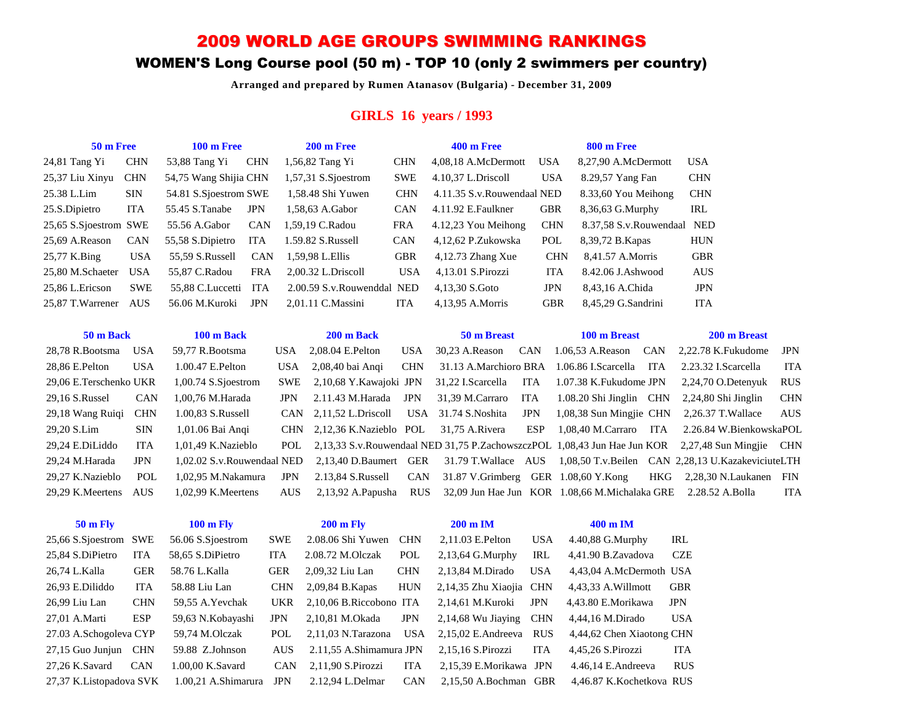## 2009 WORLD AGE GROUPS SWIMMING RANKINGS

## WOMEN'S Long Course pool (50 m) - TOP 10 (only 2 swimmers per country)

**Arranged and prepared by Rumen Atanasov (Bulgaria) - December 31, 2009**

### **GIRLS 16 years / 1993**

| 50 m Free             |            | $100 \text{ m}$ Free  |            | $200 \text{ m}$ Free       |            | $400 \text{ m}$ Free        |            | <b>800 m Free</b>       |            |
|-----------------------|------------|-----------------------|------------|----------------------------|------------|-----------------------------|------------|-------------------------|------------|
| $24,81$ Tang Yi       | <b>CHN</b> | 53,88 Tang Yi         | <b>CHN</b> | 1,56,82 Tang Yi            | <b>CHN</b> | 4,08,18 A.McDermott         | <b>USA</b> | 8,27,90 A.McDermott     | <b>USA</b> |
| 25,37 Liu Xinyu       | <b>CHN</b> | 54,75 Wang Shijia CHN |            | $1,57,31$ S.S joestrom     | <b>SWE</b> | 4.10.37 L.Driscoll          | <b>USA</b> | 8.29,57 Yang Fan        | <b>CHN</b> |
| 25.38 L.Lim           | <b>SIN</b> | 54.81 S.Sjoestrom SWE |            | 1.58.48 Shi Yuwen          | <b>CHN</b> | 4.11.35 S.v. Rouwendaal NED |            | 8.33,60 You Meihong     | <b>CHN</b> |
| 25.S.Dipietro         | ITA        | 55.45 S.Tanabe        | <b>JPN</b> | 1.58.63 A.Gabor            | <b>CAN</b> | 4.11.92 E.Faulkner          | <b>GBR</b> | 8,36,63 G.Murphy        | IRL        |
| 25,65 S.Sjoestrom SWE |            | 55.56 A.Gabor         | <b>CAN</b> | 1.59.19 C.Radou            | <b>FRA</b> | 4.12.23 You Meihong         | <b>CHN</b> | 8.37.58 S.v. Rouwendaal | <b>NED</b> |
| 25,69 A.Reason        | <b>CAN</b> | 55,58 S.Dipietro      | <b>ITA</b> | 1.59.82 S.Russell          | <b>CAN</b> | 4,12,62 P.Zukowska          | POL        | 8,39,72 B. Kapas        | <b>HUN</b> |
| 25,77 K.Bing          | <b>USA</b> | 55.59 S.Russell       | <b>CAN</b> | 1.59.98 L.Ellis            | <b>GBR</b> | $4,12.73$ Zhang Xue         | <b>CHN</b> | 8.41.57 A.Morris        | <b>GBR</b> |
| 25,80 M.Schaeter      | <b>USA</b> | 55.87 C.Radou         | <b>FRA</b> | 2.00.32 L.Driscoll         | <b>USA</b> | 4,13.01 S.Pirozzi           | <b>ITA</b> | 8.42.06 J.Ashwood       | <b>AUS</b> |
| 25.86 L.Ericson       | <b>SWE</b> | 55.88 C.Luccetti      | ITA        | 2.00.59 S.v.Rouwenddal NED |            | 4.13.30 S.Goto              | <b>JPN</b> | 8,43,16 A.Chida         | <b>JPN</b> |
| 25.87 T.Warrener      | <b>AUS</b> | 56.06 M.Kuroki        | <b>JPN</b> | $2.01.11$ C.Massini        | <b>ITA</b> | 4,13,95 A.Morris            | <b>GBR</b> | 8,45,29 G.Sandrini      | <b>ITA</b> |
|                       |            |                       |            |                            |            |                             |            |                         |            |

| 50 m Back              |            | 100 m Back                 |            | 200 m Back                                 |            | 50 m Breast           |            | 100 m Breast                                                    |      | 200 m Breast                                                                                         |     |
|------------------------|------------|----------------------------|------------|--------------------------------------------|------------|-----------------------|------------|-----------------------------------------------------------------|------|------------------------------------------------------------------------------------------------------|-----|
| 28.78 R.Bootsma        | <b>USA</b> | 59.77 R.Bootsma            | USA.       | $2.08.04$ E.Pelton                         | <b>USA</b> | 30.23 A.Reason        | <b>CAN</b> |                                                                 |      | $1.06.53$ A.Reason CAN $2.22.78$ K.Fukudome                                                          | JPN |
| 28,86 E.Pelton         | USA        | 1.00.47 E.Pelton           | USA        | 2,08,40 bai Angi                           | <b>CHN</b> |                       |            | 31.13 A.Marchioro BRA 1.06.86 I.Scarcella ITA                   |      | 2.23.32 I.Scarcella                                                                                  | ITA |
| 29,06 E.Terschenko UKR |            | 1,00.74 S.Sjoestrom        | <b>SWE</b> | 2.10.68 Y.Kawaioki JPN                     |            | 31,22 I.Scarcella ITA |            | 1.07.38 K.Fukudome JPN                                          |      | 2,24,70 O.Detenyuk                                                                                   | RUS |
| 29,16 S.Russel         | <b>CAN</b> | 1,00,76 M.Harada           | JPN        | 2.11.43 M.Harada                           | JPN        | 31,39 M.Carraro ITA   |            | $1.08.20$ Shi Jinglin CHN                                       |      | $2,24,80$ Shi Jinglin                                                                                | CHN |
| 29,18 Wang Ruigi       | <b>CHN</b> | 1.00.83 S.Russell          |            | CAN 2,11,52 L.Driscoll USA 31.74 S.Noshita |            |                       | <b>JPN</b> |                                                                 |      | $1,08,38$ Sun Mingjie CHN $2,26.37$ T. Wallace                                                       | AUS |
| 29,20 S.Lim            | <b>SIN</b> | 1,01.06 Bai Angi           |            | CHN 2,12,36 K.Nazieblo POL                 |            | 31,75 A.Rivera        | ESP        | 1,08,40 M.Carraro                                               | ITA. | 2.26.84 W.BienkowskaPOL                                                                              |     |
| 29,24 E.DiLiddo        | ITA        | 1.01.49 K.Nazieblo         |            |                                            |            |                       |            |                                                                 |      | POL 2,13,33 S.v.Rouwendaal NED 31,75 P.ZachowszczPOL 1,08,43 Jun Hae Jun KOR 2,27,48 Sun Mingjie CHN |     |
| 29.24 M.Harada         | JPN        | 1.02.02 S.v.Rouwendaal NED |            |                                            |            |                       |            |                                                                 |      | 2,13,40 D.Baumert GER 31.79 T.Wallace AUS 1,08,50 T.v.Beilen CAN 2,28,13 U.KazakeviciuteLTH          |     |
| 29.27 K.Nazieblo       | POL        | 1.02.95 M.Nakamura         | <b>JPN</b> | 2.13,84 S.Russell CAN                      |            |                       |            | $31.87$ V.Grimberg GER $1.08,60$ Y.Kong                         |      | HKG 2.28.30 N.Laukanen FIN                                                                           |     |
| 29.29 K.Meertens AUS   |            | 1.02.99 K.Meertens         | <b>AUS</b> | 2.13.92 A.Papusha                          | <b>RUS</b> |                       |            | 32,09 Jun Hae Jun KOR 1.08,66 M. Michalaka GRE 2.28.52 A. Bolla |      |                                                                                                      | ITA |

| <b>50 m Fly</b>          |            | $100 \text{ m}$ Fly |            | <b>200 m Fly</b>        |            | $200 \text{ m}$ IM      |            | $400 \text{ m}$ IM        |            |
|--------------------------|------------|---------------------|------------|-------------------------|------------|-------------------------|------------|---------------------------|------------|
| 25,66 S.Sjoestrom SWE    |            | 56.06 S.Sioestrom   | <b>SWE</b> | 2.08.06 Shi Yuwen       | <b>CHN</b> | 2,11.03 E.Pelton        | <b>USA</b> | $4.40,88$ G. Murphy       | IRL        |
| 25.84 S.DiPietro         | <b>ITA</b> | 58.65 S.DiPietro    | <b>ITA</b> | 2.08.72 M.Olczak        | POL        | $2,13,64$ G. Murphy     | IRL        | 4,41.90 B.Zavadova        | <b>CZE</b> |
| 26.74 L.Kalla            | <b>GER</b> | 58.76 L.Kalla       | <b>GER</b> | 2.09.32 Liu Lan         | <b>CHN</b> | 2.13.84 M.Dirado        | <b>USA</b> | 4.43.04 A.McDermoth USA   |            |
| 26,93 E.Diliddo          | <b>ITA</b> | 58.88 Liu Lan       | <b>CHN</b> | 2,09,84 B. Kapas        | <b>HUN</b> | 2,14,35 Zhu Xiaojia CHN |            | 4,43,33 A. Willmott       | GBR        |
| 26,99 Liu Lan            | <b>CHN</b> | 59.55 A. Yevchak    | <b>UKR</b> | 2.10.06 B.Riccobono ITA |            | 2.14.61 M.Kuroki        | <b>JPN</b> | 4.43.80 E.Morikawa        | <b>JPN</b> |
| 27,01 A.Marti            | ESP        | 59,63 N.Kobayashi   | <b>JPN</b> | 2.10.81 M.Okada         | <b>JPN</b> | $2,14,68$ Wu Jiaying    | <b>CHN</b> | 4,44,16 M.Dirado          | <b>USA</b> |
| 27.03 A.Schogoleva CYP   |            | 59.74 M.Olczak      | POL        | $2,11,03$ N.Tarazona    | USA        | $2,15,02$ E. Andreeva   | <b>RUS</b> | 4,44,62 Chen Xiaotong CHN |            |
| 27,15 Guo Junjun CHN     |            | 59.88 Z.Johnson     | <b>AUS</b> | 2.11.55 A.Shimamura JPN |            | 2.15.16 S.Pirozzi       | <b>ITA</b> | 4,45,26 S.Pirozzi         | <b>ITA</b> |
| 27.26 K.Savard           | <b>CAN</b> | 1.00.00 K.Savard    | <b>CAN</b> | 2.11.90 S.Pirozzi       | <b>ITA</b> | 2.15.39 E.Morikawa JPN  |            | $4.46.14$ E.Andreeva      | <b>RUS</b> |
| 27,37 K. Listopadova SVK |            | 1.00.21 A.Shimarura | JPN        | 2.12.94 L.Delmar        | <b>CAN</b> | 2.15.50 A.Bochman GBR   |            | 4,46.87 K.Kochetkova RUS  |            |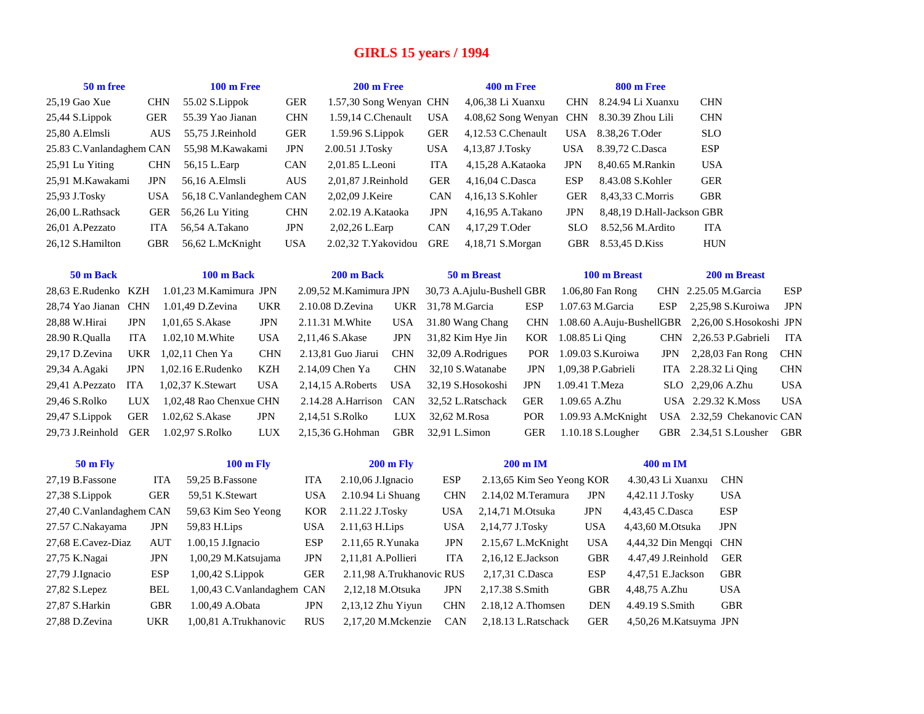## **GIRLS 15 years / 1994**

| 50 m free                |            |            | 100 m Free                 |                   |             | 200 m Free              |                           |                |                           | <b>400 m Free</b>         |                 | 800 m Free                 |                    |                        |                            |            |
|--------------------------|------------|------------|----------------------------|-------------------|-------------|-------------------------|---------------------------|----------------|---------------------------|---------------------------|-----------------|----------------------------|--------------------|------------------------|----------------------------|------------|
| 25,19 Gao Xue            |            | <b>CHN</b> | 55.02 S.Lippok             |                   | <b>GER</b>  | 1.57,30 Song Wenyan CHN |                           |                | 4,06,38 Li Xuanxu         |                           | <b>CHN</b>      | 8.24.94 Li Xuanxu          |                    | <b>CHN</b>             |                            |            |
| 25,44 S.Lippok           |            | <b>GER</b> | 55.39 Yao Jianan           |                   | CHN         | 1.59,14 C.Chenault      |                           | <b>USA</b>     | 4.08,62 Song Wenyan CHN   |                           |                 | 8.30.39 Zhou Lili          |                    | <b>CHN</b>             |                            |            |
| 25,80 A.Elmsli           |            | <b>AUS</b> | 55,75 J.Reinhold           |                   | ${\tt GER}$ | 1.59.96 S.Lippok        |                           | <b>GER</b>     | 4,12.53 C.Chenault        |                           | USA             | 8.38,26 T.Oder             |                    | <b>SLO</b>             |                            |            |
| 25.83 C.Vanlandaghem CAN |            |            | 55,98 M.Kawakami           |                   | <b>JPN</b>  | 2.00.51 J.Tosky         |                           | <b>USA</b>     | 4,13,87 J.Tosky           |                           | <b>USA</b>      | 8.39,72 C.Dasca            |                    | <b>ESP</b>             |                            |            |
| 25,91 Lu Yiting          |            | <b>CHN</b> | 56,15 L.Earp               |                   | CAN         | 2,01.85 L.Leoni         |                           | ITA            | 4,15,28 A.Kataoka         |                           | <b>JPN</b>      | 8,40.65 M.Rankin           |                    | <b>USA</b>             |                            |            |
| 25,91 M.Kawakami         |            | <b>JPN</b> | 56,16 A.Elmsli             |                   | AUS         | 2,01,87 J.Reinhold      |                           | <b>GER</b>     | 4,16,04 C.Dasca           |                           | <b>ESP</b>      | 8.43.08 S.Kohler           |                    | <b>GER</b>             |                            |            |
| 25,93 J.Tosky            |            | <b>USA</b> | 56,18 C.Vanlandeghem CAN   |                   |             | 2,02,09 J.Keire         |                           | CAN            | 4,16,13 S.Kohler          |                           | <b>GER</b>      | 8,43,33 C.Morris           |                    | <b>GBR</b>             |                            |            |
| 26,00 L.Rathsack         |            | <b>GER</b> | 56,26 Lu Yiting            |                   | <b>CHN</b>  | 2.02.19 A.Kataoka       |                           | <b>JPN</b>     | 4,16,95 A.Takano          |                           | <b>JPN</b>      | 8,48,19 D.Hall-Jackson GBR |                    |                        |                            |            |
| 26,01 A.Pezzato          |            | <b>ITA</b> | 56,54 A.Takano             |                   | $\rm JPN$   | 2,02,26 L.Earp          |                           | CAN            | 4,17,29 T.Oder            |                           | <b>SLO</b>      | 8.52,56 M.Ardito           |                    | <b>ITA</b>             |                            |            |
| 26,12 S.Hamilton         |            | <b>GBR</b> | 56,62 L.McKnight           |                   | <b>USA</b>  | 2.02,32 T. Yakovidou    |                           | <b>GRE</b>     | 4,18,71 S.Morgan          |                           | GBR             | 8.53,45 D.Kiss             |                    | <b>HUN</b>             |                            |            |
|                          |            |            |                            |                   |             |                         |                           |                |                           |                           |                 |                            |                    |                        |                            |            |
| 50 m Back                |            |            | 100 m Back                 |                   |             | 200 m Back              |                           |                | 50 m Breast               |                           |                 | 100 m Breast               |                    |                        | 200 m Breast               |            |
| 28,63 E.Rudenko          | KZH        |            | 1.01,23 M.Kamimura JPN     |                   |             | 2.09,52 M.Kamimura JPN  |                           |                | 30,73 A.Ajulu-Bushell GBR |                           |                 | 1.06,80 Fan Rong           |                    |                        | CHN 2.25.05 M.Garcia       | <b>ESP</b> |
| 28,74 Yao Jianan         | <b>CHN</b> |            | 1.01,49 D.Zevina           | UKR               |             | 2.10.08 D.Zevina        | <b>UKR</b>                | 31,78 M.Garcia |                           | ESP                       |                 | 1.07.63 M.Garcia           | ESP                |                        | 2,25,98 S.Kuroiwa          | <b>JPN</b> |
| 28,88 W.Hirai            | <b>JPN</b> |            | 1,01,65 S.Akase            | $_{\mathrm{JPN}}$ |             | 2.11.31 M. White        | <b>USA</b>                |                | 31.80 Wang Chang          | <b>CHN</b>                |                 | 1.08.60 A.Auju-BushellGBR  |                    |                        | 2,26,00 S.Hosokoshi JPN    |            |
| 28.90 R.Qualla           | <b>ITA</b> |            | 1.02,10 M. White           | <b>USA</b>        |             | 2,11,46 S.Akase         | <b>JPN</b>                |                | 31,82 Kim Hye Jin         | KOR                       | 1.08.85 Li Qing |                            |                    |                        | CHN 2,26.53 P.Gabrieli     | ITA        |
| 29,17 D.Zevina           | UKR        |            | 1,02,11 Chen Ya            | <b>CHN</b>        |             | 2.13,81 Guo Jiarui      | <b>CHN</b>                |                | 32,09 A.Rodrigues         | <b>POR</b>                |                 | 1.09.03 S.Kuroiwa          | JPN                |                        | 2,28,03 Fan Rong           | <b>CHN</b> |
| 29,34 A.Agaki            | <b>JPN</b> |            | 1,02.16 E.Rudenko          | KZH               |             | 2.14,09 Chen Ya         | <b>CHN</b>                |                | 32,10 S. Watanabe         | <b>JPN</b>                |                 | 1,09,38 P.Gabrieli         |                    |                        | ITA 2.28.32 Li Qing        | <b>CHN</b> |
| 29,41 A.Pezzato          | <b>ITA</b> |            | 1,02,37 K.Stewart          | <b>USA</b>        |             | 2,14,15 A.Roberts       | <b>USA</b>                |                | 32,19 S.Hosokoshi         | JPN                       | 1.09.41 T.Meza  |                            |                    | SLO 2,29,06 A.Zhu      |                            | <b>USA</b> |
| 29,46 S.Rolko            | <b>LUX</b> |            | 1,02,48 Rao Chenxue CHN    |                   |             | 2.14.28 A.Harrison      | <b>CAN</b>                |                | 32,52 L.Ratschack         | <b>GER</b>                | 1.09.65 A.Zhu   |                            |                    |                        | USA 2.29.32 K.Moss         | <b>USA</b> |
| 29,47 S.Lippok           | <b>GER</b> |            | 1.02,62 S.Akase            | $_{\mathrm{JPN}}$ |             | 2,14,51 S.Rolko         | <b>LUX</b>                | 32,62 M.Rosa   |                           | POR                       |                 | 1.09.93 A.McKnight         |                    |                        | USA 2.32,59 Chekanovic CAN |            |
| 29,73 J.Reinhold         | <b>GER</b> |            | 1.02,97 S.Rolko            | LUX               |             | 2,15,36 G.Hohman        | <b>GBR</b>                | 32,91 L.Simon  |                           | <b>GER</b>                |                 | 1.10.18 S.Lougher          |                    |                        | GBR 2.34,51 S.Lousher      | GBR        |
|                          |            |            |                            |                   |             |                         |                           |                |                           |                           |                 |                            |                    |                        |                            |            |
| <b>50 m Fly</b>          |            |            | <b>100 m Fly</b>           |                   |             |                         | <b>200 m Fly</b>          |                |                           | 200 m IM                  |                 |                            | 400 m IM           |                        |                            |            |
| 27,19 B.Fassone          |            | <b>ITA</b> | 59,25 B.Fassone            |                   | <b>ITA</b>  | 2.10,06 J.Ignacio       |                           | <b>ESP</b>     |                           | 2.13,65 Kim Seo Yeong KOR |                 |                            | 4.30,43 Li Xuanxu  |                        | <b>CHN</b>                 |            |
| 27,38 S.Lippok           |            | <b>GER</b> | 59,51 K.Stewart            |                   | <b>USA</b>  | 2.10.94 Li Shuang       |                           | <b>CHN</b>     |                           | 2.14,02 M.Teramura        |                 | JPN                        | 4,42.11 J.Tosky    |                        | <b>USA</b>                 |            |
| 27,40 C.Vanlandaghem CAN |            |            | 59,63 Kim Seo Yeong        |                   | <b>KOR</b>  | 2.11.22 J.Tosky         |                           | <b>USA</b>     |                           | 2,14,71 M.Otsuka          |                 | $_{\mathrm{JPN}}$          | 4,43,45 C.Dasca    |                        | <b>ESP</b>                 |            |
| 27.57 C.Nakayama         |            | <b>JPN</b> | 59,83 H.Lips               |                   | <b>USA</b>  | 2.11,63 H.Lips          |                           | <b>USA</b>     |                           | 2,14,77 J.Tosky           |                 | <b>USA</b>                 | 4,43,60 M.Otsuka   |                        | <b>JPN</b>                 |            |
| 27,68 E.Cavez-Diaz       |            | <b>AUT</b> | 1.00,15 J.Ignacio          |                   | ESP         | 2.11,65 R.Yunaka        |                           | <b>JPN</b>     |                           | 2.15,67 L.McKnight        |                 | <b>USA</b>                 |                    | 4,44,32 Din Mengqi CHN |                            |            |
| 27,75 K.Nagai            |            | JPN        | 1,00,29 M.Katsujama        |                   | <b>JPN</b>  | 2,11,81 A.Pollieri      |                           | <b>ITA</b>     |                           | 2,16,12 E.Jackson         |                 | <b>GBR</b>                 | 4.47,49 J.Reinhold |                        | <b>GER</b>                 |            |
| 27,79 J.Ignacio          |            | <b>ESP</b> | 1,00,42 S.Lippok           |                   | <b>GER</b>  |                         | 2.11,98 A.Trukhanovic RUS |                |                           | 2,17,31 C.Dasca           |                 | <b>ESP</b>                 | 4,47,51 E.Jackson  |                        | <b>GBR</b>                 |            |
| 27,82 S.Lepez            |            | <b>BEL</b> | 1,00,43 C.Vanlandaghem CAN |                   |             |                         | 2,12,18 M.Otsuka          | JPN            |                           | 2,17.38 S.Smith           |                 | <b>GBR</b>                 | 4,48,75 A.Zhu      |                        | <b>USA</b>                 |            |
| 27,87 S.Harkin           |            | <b>GBR</b> | 1.00,49 A.Obata            |                   | <b>JPN</b>  |                         | 2,13,12 Zhu Yiyun         | <b>CHN</b>     |                           | 2.18,12 A.Thomsen         |                 | <b>DEN</b>                 | 4.49.19 S.Smith    |                        | $\operatorname{GBR}$       |            |
| 27,88 D.Zevina           |            | <b>UKR</b> | 1,00,81 A.Trukhanovic      |                   | <b>RUS</b>  |                         | 2,17,20 M.Mckenzie        | <b>CAN</b>     |                           | 2,18.13 L.Ratschack       |                 | <b>GER</b>                 |                    | 4,50,26 M.Katsuyma JPN |                            |            |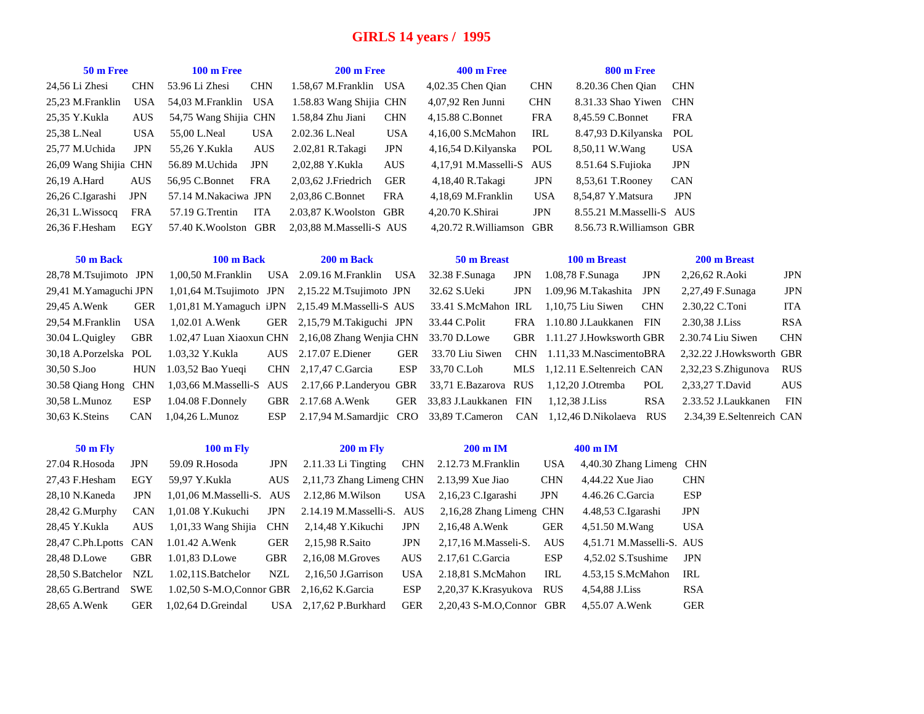### **GIRLS 14 years / 1995**

| 50 m Free             |            | $100 \text{ m}$ Free  |            | 200 m Free               |            | <b>400 m Free</b>        |            | <b>800 m Free</b>         |            |
|-----------------------|------------|-----------------------|------------|--------------------------|------------|--------------------------|------------|---------------------------|------------|
| 24,56 Li Zhesi        | <b>CHN</b> | 53.96 Li Zhesi        | <b>CHN</b> | 1.58.67 M.Franklin USA   |            | 4,02.35 Chen Oian        | <b>CHN</b> | 8.20.36 Chen Oian         | <b>CHN</b> |
| 25,23 M.Franklin      | <b>USA</b> | 54.03 M.Franklin USA  |            | 1.58.83 Wang Shijia CHN  |            | 4,07,92 Ren Junni        | <b>CHN</b> | 8.31.33 Shao Yiwen        | <b>CHN</b> |
| 25,35 Y.Kukla         | <b>AUS</b> | 54,75 Wang Shijia CHN |            | 1.58,84 Zhu Jiani        | <b>CHN</b> | 4,15.88 C.Bonnet         | <b>FRA</b> | 8,45.59 C.Bonnet          | <b>FRA</b> |
| 25,38 L.Neal          | <b>USA</b> | 55,00 L.Neal          | <b>USA</b> | 2.02.36 L.Neal           | <b>USA</b> | 4,16,00 S.McMahon        | IRL        | 8.47,93 D.Kilyanska       | POL        |
| 25,77 M.Uchida        | <b>JPN</b> | 55.26 Y.Kukla         | <b>AUS</b> | 2.02,81 R.Takagi         | <b>JPN</b> | 4,16,54 D.Kilyanska      | POL        | 8,50,11 W.Wang            | <b>USA</b> |
| 26,09 Wang Shijia CHN |            | 56.89 M.Uchida        | <b>JPN</b> | 2,02,88 Y.Kukla          | <b>AUS</b> | 4,17,91 M.Masselli-S AUS |            | 8.51.64 S.Fujioka         | <b>JPN</b> |
| 26,19 A.Hard          | <b>AUS</b> | 56.95 C.Bonnet        | <b>FRA</b> | 2,03,62 J.Friedrich      | <b>GER</b> | 4,18,40 R.Takagi         | <b>JPN</b> | 8,53,61 T.Rooney          | <b>CAN</b> |
| 26,26 C.Igarashi      | <b>JPN</b> | 57.14 M.Nakaciwa JPN  |            | 2,03,86 C.Bonnet         | <b>FRA</b> | 4,18,69 M.Franklin       | <b>USA</b> | 8,54,87 Y.Matsura         | <b>JPN</b> |
| 26,31 L.Wissocq       | <b>FRA</b> | 57.19 G.Trentin       | <b>ITA</b> | 2.03.87 K. Woolston GBR  |            | 4,20.70 K.Shirai         | <b>JPN</b> | 8.55.21 M.Masselli-S AUS  |            |
| 26.36 F.Hesham        | EGY        | 57.40 K.Woolston      | GBR        | 2.03.88 M.Masselli-S AUS |            | 4,20.72 R. Williamson    | <b>GBR</b> | 8.56.73 R. Williamson GBR |            |

| 50 m Back             |            | 100 m Back          | 200 m Back                                                              |     | 50 m Breast                |            | 100 m Breast                                                            |            | 200 m Breast              |            |
|-----------------------|------------|---------------------|-------------------------------------------------------------------------|-----|----------------------------|------------|-------------------------------------------------------------------------|------------|---------------------------|------------|
| 28,78 M.Tsujimoto JPN |            | 1,00,50 M.Franklin  | USA 2.09.16 M.Franklin USA                                              |     | 32.38 F.Sunaga             | <b>JPN</b> | 1.08,78 F.Sunaga                                                        | <b>JPN</b> | 2,26,62 R.Aoki            | <b>JPN</b> |
| 29,41 M.Yamaguchi JPN |            |                     | $1,01,64$ M.Tsujimoto JPN $2,15.22$ M.Tsujimoto JPN                     |     | 32.62 S.Ueki               | <b>JPN</b> | 1.09,96 M.Takashita JPN                                                 |            | 2,27,49 F.Sunaga          | JPN        |
| 29,45 A.Wenk          | GER        |                     | 1,01,81 M. Yamaguch iJPN 2,15.49 M. Masselli-S AUS 33.41 S. McMahon IRL |     |                            |            | 1.10.75 Liu Siwen                                                       | <b>CHN</b> | 2.30,22 C.Toni            | ITA        |
| 29.54 M.Franklin      | USA        | 1.02.01 A.Wenk      | GER 2,15,79 M.Takiguchi JPN                                             |     | 33.44 C.Polit              | FRA        | 1.10.80 J.Laukkanen FIN                                                 |            | 2.30.38 J.Liss            | <b>RSA</b> |
| 30.04 L.Quigley       | GBR        |                     | 1.02,47 Luan Xiaoxun CHN 2,16,08 Zhang Wenjia CHN 33.70 D.Lowe          |     |                            |            | GBR 1.11.27 J.Howksworth GBR                                            |            | 2.30.74 Liu Siwen         | <b>CHN</b> |
| 30.18 A.Porzelska POL |            | 1.03.32 Y.Kukla     | AUS 2.17.07 E.Diener                                                    | GER | 33.70 Liu Siwen            |            | CHN 1.11.33 M.NascimentoBRA                                             |            | 2,32.22 J.Howksworth GBR  |            |
| 30.50 S.Joo           | <b>HUN</b> | $1.03,52$ Bao Yueqi | $CHN$ 2,17,47 C. Garcia                                                 | ESP | 33.70 C.Loh                |            | MLS 1,12.11 E.Seltenreich CAN                                           |            | 2,32,23 S.Zhigunova       | <b>RUS</b> |
| 30.58 Oiang Hong CHN  |            |                     | 1,03,66 M.Masselli-S AUS 2.17,66 P.Landeryou GBR 33,71 E.Bazarova RUS   |     |                            |            | 1,12,20 J.Otremba                                                       | POL        | 2,33,27 T.David           | <b>AUS</b> |
| 30.58 L.Munoz         | <b>ESP</b> | $1.04.08$ F.Donnely | GBR 2.17.68 A.Wenk                                                      |     | GER 33.83 J. Laukkanen FIN |            | 1.12.38 J.Liss                                                          | <b>RSA</b> | 2.33.52 J.Laukkanen       | FIN        |
| 30.63 K.Steins        | <b>CAN</b> | $1.04.26$ L.Munoz   |                                                                         |     |                            |            | ESP 2.17,94 M.Samardjic CRO 33,89 T.Cameron CAN 1,12,46 D.Nikolaeva RUS |            | 2.34.39 E.Seltenreich CAN |            |

| $50 \text{ m}$ Fly    |            | <b>100 m Fly</b>         |            | <b>200 m Fly</b>         |            | $200 \text{ m}$ IM         |            | 400 m IM                  |            |
|-----------------------|------------|--------------------------|------------|--------------------------|------------|----------------------------|------------|---------------------------|------------|
| 27.04 R.Hosoda        | <b>JPN</b> | 59.09 R.Hosoda           | JPN        | $2.11.33$ Li Tingting    | <b>CHN</b> | 2.12.73 M.Franklin         | <b>USA</b> | 4,40.30 Zhang Limeng CHN  |            |
| 27,43 F.Hesham        | EGY        | 59.97 Y.Kukla            | AUS        | 2,11,73 Zhang Limeng CHN |            | $2.13.99$ Xue Jiao         | <b>CHN</b> | $4.44.22$ Xue Jiao        | <b>CHN</b> |
| 28,10 N.Kaneda        | <b>JPN</b> | 1,01,06 M.Masselli-S.    | <b>AUS</b> | 2.12,86 M.Wilson         | <b>USA</b> | $2,16,23$ C.Igarashi       | <b>JPN</b> | 4.46.26 C.Garcia          | ESP        |
| 28,42 G.Murphy        | <b>CAN</b> | 1.01.08 Y.Kukuchi        | <b>JPN</b> | 2.14.19 M.Masselli-S.    | AUS        | 2,16,28 Zhang Limeng CHN   |            | 4.48,53 C.Igarashi        | <b>JPN</b> |
| 28,45 Y.Kukla         | <b>AUS</b> | $1,01,33$ Wang Shijia    | <b>CHN</b> | 2.14.48 Y.Kikuchi        | <b>JPN</b> | 2,16,48 A.Wenk             | GER        | 4,51.50 M.Wang            | <b>USA</b> |
| 28,47 C.Ph.Lpotts CAN |            | 1.01.42 A.Wenk           | <b>GER</b> | 2,15,98 R.Saito          | <b>JPN</b> | 2.17.16 M. Masseli-S.      | <b>AUS</b> | 4,51.71 M.Masselli-S. AUS |            |
| 28.48 D.Lowe          | <b>GBR</b> | 1.01.83 D.Lowe           | <b>GBR</b> | 2,16,08 M.Groves         | <b>AUS</b> | 2.17,61 C.Garcia           | ESP        | $4.52.02$ S.Tsushime      | <b>JPN</b> |
| 28.50 S.Batchelor     | NZL        | 1.02,11S.Batchelor       | <b>NZL</b> | $2.16.50$ J.Garrison     | <b>USA</b> | 2.18.81 S.McMahon          | IRL        | 4.53.15 S.McMahon         | IRL        |
| 28.65 G.Bertrand      | <b>SWE</b> | 1.02,50 S-M.O.Connor GBR |            | 2,16,62 K.Garcia         | <b>ESP</b> | 2,20,37 K.Krasyukova       | <b>RUS</b> | 4,54,88 J.Liss            | <b>RSA</b> |
| 28.65 A.Wenk          | <b>GER</b> | 1,02,64 D.Greindal       | USA.       | 2.17.62 P.Burkhard       | <b>GER</b> | $2.20.43$ S-M.O.Connor GBR |            | 4.55.07 A.Wenk            | <b>GER</b> |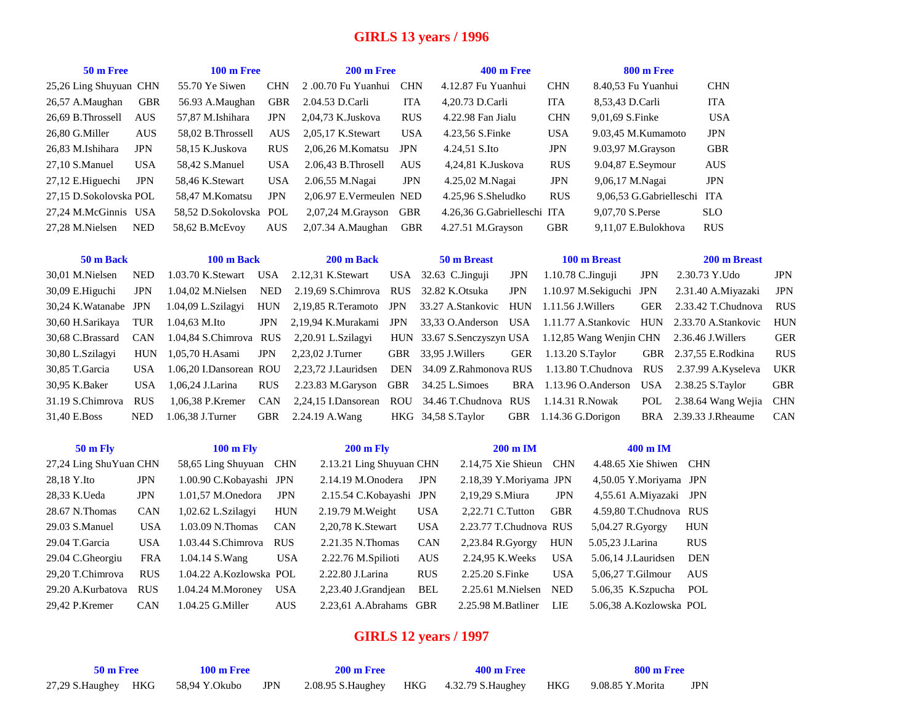# **GIRLS 13 years / 1996**

| 50 m Free              |            | $100 \text{ m}$ Free |            | $200 \text{ m}$ Free    |            | <b>400 m Free</b>           |            | 800 m Free              |            |
|------------------------|------------|----------------------|------------|-------------------------|------------|-----------------------------|------------|-------------------------|------------|
| 25,26 Ling Shuyuan CHN |            | 55.70 Ye Siwen       | <b>CHN</b> | 2.00.70 Fu Yuanhui      | <b>CHN</b> | 4.12.87 Fu Yuanhui          | <b>CHN</b> | 8.40.53 Fu Yuanhui      | <b>CHN</b> |
| 26,57 A.Maughan        | <b>GBR</b> | 56.93 A.Maughan      | <b>GBR</b> | 2.04.53 D.Carli         | <b>ITA</b> | 4,20.73 D.Carli             | <b>ITA</b> | 8,53,43 D.Carli         | <b>ITA</b> |
| 26.69 B. Throssell     | <b>AUS</b> | 57.87 M.Ishihara     | <b>JPN</b> | 2,04,73 K.Juskova       | <b>RUS</b> | 4.22.98 Fan Jialu           | <b>CHN</b> | 9.01.69 S.Finke         | <b>USA</b> |
| 26.80 G.Miller         | <b>AUS</b> | 58.02 B. Throssell   | <b>AUS</b> | 2.05.17 K.Stewart       | <b>USA</b> | 4.23,56 S.Finke             | <b>USA</b> | 9.03.45 M.Kumamoto      | <b>JPN</b> |
| 26.83 M.Ishihara       | <b>JPN</b> | 58.15 K.Juskova      | <b>RUS</b> | 2.06.26 M. Komatsu      | <b>JPN</b> | 4.24,51 S.Ito               | <b>JPN</b> | 9.03,97 M.Grayson       | <b>GBR</b> |
| 27.10 S.Manuel         | <b>USA</b> | 58.42 S.Manuel       | <b>USA</b> | $2.06.43$ B. Throsell   | <b>AUS</b> | 4.24.81 K.Juskova           | <b>RUS</b> | 9.04,87 E.Seymour       | <b>AUS</b> |
| $27,12$ E.Higuechi     | <b>JPN</b> | 58.46 K.Stewart      | <b>USA</b> | 2.06,55 M.Nagai         | <b>JPN</b> | 4.25,02 M.Nagai             | <b>JPN</b> | 9,06,17 M.Nagai         | <b>JPN</b> |
| 27.15 D.Sokolovska POL |            | 58.47 M.Komatsu      | <b>JPN</b> | 2.06.97 E.Vermeulen NED |            | 4.25.96 S.Sheludko          | <b>RUS</b> | 9,06,53 G.Gabrielleschi | <b>ITA</b> |
| 27.24 M.McGinnis USA   |            | 58.52 D.Sokolovska   | POL        | $2.07.24$ M. Gravson    | GBR        | 4.26.36 G.Gabrielleschi ITA |            | 9,07,70 S.Perse         | <b>SLO</b> |
| 27.28 M.Nielsen        | <b>NED</b> | 58.62 B.McEvov       | <b>AUS</b> | 2.07.34 A.Maughan       | <b>GBR</b> | $4.27.51$ M. Grayson        | <b>GBR</b> | 9,11,07 E.Bulokhova     | <b>RUS</b> |

| 50 m Back             |            | 100 m Back                 |            | 200 m Back                                                   |     | 50 m Breast           |            | 100 m Breast                                                         |            | 200 m Breast                                                     |            |
|-----------------------|------------|----------------------------|------------|--------------------------------------------------------------|-----|-----------------------|------------|----------------------------------------------------------------------|------------|------------------------------------------------------------------|------------|
| 30.01 M.Nielsen       | NED        | 1.03.70 K.Stewart          |            | USA $2.12,31$ K. Stewart                                     |     | USA $32.63$ C.Jinguji | <b>JPN</b> | $1.10.78$ C. Jinguji                                                 | <b>JPN</b> | 2.30.73 Y.Udo                                                    | <b>JPN</b> |
| 30.09 E.Higuchi       | JPN        | $1.04.02$ M. Nielsen       | NED        | 2.19.69 S.Chimrova RUS 32.82 K.Otsuka                        |     |                       | JPN        | 1.10.97 M.Sekiguchi JPN                                              |            | 2.31.40 A.Mivazaki                                               | JPN        |
| 30.24 K. Watanabe JPN |            | 1.04,09 L.Szilagyi         | <b>HUN</b> | 2.19.85 R.Teramoto JPN                                       |     | 33.27 A.Stankovic HUN |            | 1.11.56 J.Willers                                                    | <b>GER</b> | 2.33.42 T.Chudnova                                               | <b>RUS</b> |
| 30,60 H.Sarikaya      | TUR        | 1.04.63 M.Ito              | JPN        | 2.19.94 K.Murakami                                           | JPN |                       |            |                                                                      |            | 33,33 O.Anderson USA 1.11.77 A.Stankovic HUN 2.33.70 A.Stankovic | HUN        |
| 30.68 C.Brassard      |            | CAN 1.04.84 S.Chimrova RUS |            | 2,20.91 L.Szilagyi                                           |     |                       |            | HUN 33.67 S.Senczyszyn USA 1.12.85 Wang Wenjin CHN 2.36.46 J.Willers |            |                                                                  | GER        |
| 30,80 L.Szilagyi      |            | HUN 1.05.70 H. Asami       | <b>JPN</b> | 2.23.02 J.Turner                                             |     | GBR 33,95 J. Willers  | GER        | 1.13.20 S.Taylor                                                     |            | GBR 2.37.55 E.Rodkina                                            | <b>RUS</b> |
| 30,85 T.Garcia        | USA.       | 1.06,20 I.Dansorean ROU    |            |                                                              |     |                       |            | 2,23,72 J.Lauridsen DEN 34.09 Z.Rahmonova RUS 1.13.80 T.Chudnova     |            | RUS 2.37.99 A.Kyseleva                                           | <b>UKR</b> |
| 30,95 K.Baker         | USA.       | 1.06.24 J.Larina           | <b>RUS</b> | 2.23.83 M.Garyson                                            |     | GBR 34.25 L.Simoes    |            | BRA 1.13.96 O.Anderson USA 2.38.25 S.Taylor                          |            |                                                                  | <b>GBR</b> |
| 31.19 S.Chimrova      | <b>RUS</b> | 1.06,38 P.Kremer           | <b>CAN</b> | 2.24.15 I.Dansorean ROU 34.46 T.Chudnova RUS 1.14.31 R.Nowak |     |                       |            |                                                                      |            | POL 2.38.64 Wang Wejia CHN                                       |            |
| 31.40 E.Boss          | <b>NED</b> | 1.06.38 J.Turner           |            | GBR 2.24.19 A.Wang                                           |     | HKG 34,58 S.Taylor    | GBR        | 1.14.36 G.Dorigon                                                    |            | BRA 2.39.33 J.Rheaume                                            | <b>CAN</b> |

| <b>50 m Fly</b>        |            | <b>100 m Fly</b>        |            | <b>200 m Fly</b>         |            | $200 \text{ m}$ IM     |            | $400 \text{ m}$ IM      |            |
|------------------------|------------|-------------------------|------------|--------------------------|------------|------------------------|------------|-------------------------|------------|
| 27,24 Ling ShuYuan CHN |            | 58,65 Ling Shuyuan      | <b>CHN</b> | 2.13.21 Ling Shuyuan CHN |            | $2.14,75$ Xie Shieun   | <b>CHN</b> | 4.48.65 Xie Shiwen      | <b>CHN</b> |
| 28,18 Y.Ito            | <b>JPN</b> | 1.00.90 C.Kobayashi JPN |            | $2.14.19$ M.Onodera      | <b>JPN</b> | 2.18,39 Y.Moriyama JPN |            | 4,50.05 Y.Moriyama JPN  |            |
| 28,33 K.Ueda           | <b>JPN</b> | 1.01,57 M.Onedora       | <b>JPN</b> | 2.15.54 C.Kobayashi JPN  |            | 2,19,29 S.Miura        | <b>JPN</b> | 4,55.61 A.Miyazaki      | JPN        |
| 28.67 N.Thomas         | <b>CAN</b> | 1,02.62 L.Szilagyi      | <b>HUN</b> | 2.19.79 M. Weight        | <b>USA</b> | 2.22.71 C.Tutton       | <b>GBR</b> | 4.59.80 T.Chudnova RUS  |            |
| 29.03 S.Manuel         | <b>USA</b> | 1.03.09 N. Thomas       | <b>CAN</b> | 2,20,78 K.Stewart        | <b>USA</b> | 2.23.77 T.Chudnova RUS |            | 5,04.27 R.Gyorgy        | <b>HUN</b> |
| 29.04 T.Garcia         | <b>USA</b> | 1.03.44 S.Chimrova      | <b>RUS</b> | 2.21.35 N.Thomas         | <b>CAN</b> | 2,23.84 R.Gyorgy       | <b>HUN</b> | 5.05,23 J.Larina        | <b>RUS</b> |
| 29.04 C.Gheorgiu       | <b>FRA</b> | 1.04.14 S.Wang          | <b>USA</b> | 2.22.76 M.Spilioti       | <b>AUS</b> | 2.24.95 K. Weeks       | <b>USA</b> | 5.06,14 J.Lauridsen     | <b>DEN</b> |
| 29,20 T.Chimrova       | <b>RUS</b> | 1.04.22 A.Kozlowska POL |            | 2.22.80 J.Larina         | <b>RUS</b> | 2.25.20 S.Finke        | <b>USA</b> | 5.06.27 T.Gilmour       | <b>AUS</b> |
| 29.20 A.Kurbatova      | <b>RUS</b> | $1.04.24$ M.Moroney     | <b>USA</b> | 2,23.40 J.Grandjean      | BEL        | $2.25.61$ M.Nielsen    | <b>NED</b> | $5.06,35$ K.Szpucha     | POL        |
| 29.42 P.Kremer         | <b>CAN</b> | 1.04.25 G.Miller        | <b>AUS</b> | 2.23.61 A.Abrahams       | <b>GBR</b> | 2.25.98 M.Batliner     | LIE        | 5.06.38 A.Kozlowska POL |            |

# **GIRLS 12 years / 1997**

| 50 m Free | $100 \text{ m}$ Free |  |  | $200 \text{ m}$ Free | <b>400 m Free</b>                                                                                  | 800 m Free |     |  |
|-----------|----------------------|--|--|----------------------|----------------------------------------------------------------------------------------------------|------------|-----|--|
|           |                      |  |  |                      | 27,29 S.Haughey HKG 58,94 Y.Okubo JPN 2.08.95 S.Haughey HKG 4.32.79 S.Haughey HKG 9.08.85 Y.Morita |            | JPN |  |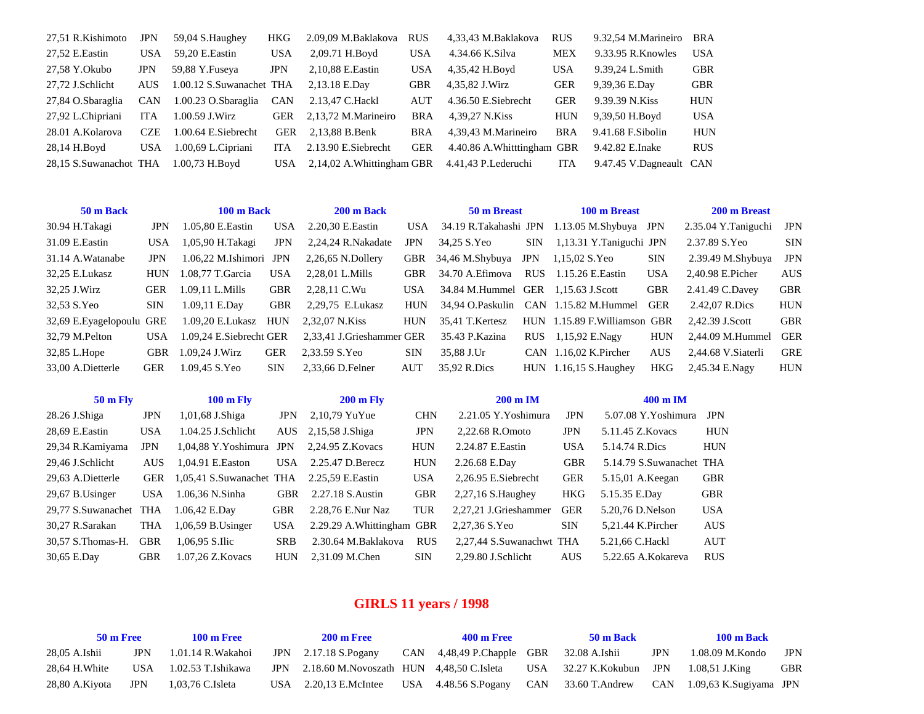| 27,51 R.Kishimoto      | <b>JPN</b> | 59,04 S.Haughey          | <b>HKG</b> | 2.09,09 M.Baklakova        | <b>RUS</b> | 4,33,43 M.Baklakova         | <b>RUS</b> | 9.32,54 M.Marineiro     | <b>BRA</b> |
|------------------------|------------|--------------------------|------------|----------------------------|------------|-----------------------------|------------|-------------------------|------------|
| 27,52 E.Eastin         | USA        | 59,20 E.Eastin           | <b>USA</b> | 2,09.71 H.Boyd             | <b>USA</b> | 4.34.66 K.Silva             | <b>MEX</b> | 9.33.95 R.Knowles       | <b>USA</b> |
| 27,58 Y.Okubo          | <b>JPN</b> | 59,88 Y.Fuseya           | <b>JPN</b> | 2,10,88 E.Eastin           | <b>USA</b> | 4,35,42 H.Boyd              | <b>USA</b> | 9.39,24 L.Smith         | <b>GBR</b> |
| 27,72 J.Schlicht       | <b>AUS</b> | 1.00.12 S.Suwanachet THA |            | 2,13.18 E.Day              | <b>GBR</b> | 4,35,82 J.Wirz              | GER        | 9,39,36 E.Day           | <b>GBR</b> |
| 27,84 O.Sbaraglia      | CAN        | 1.00.23 O.Sbaraglia CAN  |            | 2.13,47 C.Hackl            | AUT        | 4.36.50 E.Siebrecht         | <b>GER</b> | 9.39.39 N.Kiss          | <b>HUN</b> |
| 27,92 L.Chipriani      | <b>ITA</b> | 1.00.59 J.Wirz           | <b>GER</b> | 2,13,72 M.Marineiro        | <b>BRA</b> | 4,39,27 N.Kiss              | <b>HUN</b> | 9,39,50 H.Boyd          | USA        |
| 28.01 A.Kolarova       | <b>CZE</b> | 1.00.64 E.Siebrecht      | <b>GER</b> | 2,13,88 B.Benk             | <b>BRA</b> | 4,39,43 M.Marineiro         | <b>BRA</b> | 9.41.68 F.Sibolin       | <b>HUN</b> |
| 28,14 H.Boyd           | <b>USA</b> | $1.00,69$ L. Cipriani    | <b>ITA</b> | 2.13.90 E.Siebrecht        | <b>GER</b> | 4.40.86 A. Whitttingham GBR |            | 9.42.82 E.Inake         | <b>RUS</b> |
| 28,15 S.Suwanachot THA |            | $1.00,73$ H.Boyd         | USA -      | 2,14,02 A. Whittingham GBR |            | 4.41,43 P.Lederuchi         | ITA        | 9.47.45 V.Dagneault CAN |            |

| 50 m Back                 |            | 100 m Back              |            | 200 m Back                |            | 50 m Breast           |            | 100 m Breast                          |            | 200 m Breast        |            |
|---------------------------|------------|-------------------------|------------|---------------------------|------------|-----------------------|------------|---------------------------------------|------------|---------------------|------------|
| 30.94 H.Takagi            | <b>JPN</b> | 1.05,80 E.Eastin        | <b>USA</b> | 2.20,30 E.Eastin          | USA.       | 34.19 R.Takahashi JPN |            | $1.13.05$ M.Shybuya JPN               |            | 2.35.04 Y.Taniguchi | JPN        |
| 31.09 E.Eastin            | <b>USA</b> | 1,05,90 H.Takagi        | <b>JPN</b> | 2,24,24 R.Nakadate        | <b>JPN</b> | 34.25 S.Yeo           | <b>SIN</b> | 1,13.31 Y.Taniguchi JPN               |            | 2.37.89 S.Yeo       | <b>SIN</b> |
| 31.14 A.Watanabe          | <b>JPN</b> | $1.06.22$ M.Ishimori    | <b>JPN</b> | $2,26,65$ N.Dollery       | <b>GBR</b> | 34,46 M.Shybuya       | <b>JPN</b> | 1,15,02 S.Yeo                         | <b>SIN</b> | $2.39.49$ M.Shybuya | <b>JPN</b> |
| 32,25 E.Lukasz            | <b>HUN</b> | 1.08.77 T.Garcia        | USA        | 2.28.01 L.Mills           | <b>GBR</b> | 34.70 A. Efimova      | <b>RUS</b> | 1.15.26 E.Eastin                      | <b>USA</b> | 2.40.98 E.Picher    | <b>AUS</b> |
| 32,25 J.Wirz              | <b>GER</b> | 1.09.11 L.Mills         | <b>GBR</b> | 2.28.11 C.Wu              | <b>USA</b> | 34.84 M.Hummel GER    |            | 1.15.63 J.Scott                       | <b>GBR</b> | 2.41.49 C.Davey     | <b>GBR</b> |
| 32,53 S.Yeo               | <b>SIN</b> | 1.09,11 E.Day           | GBR        | 2.29.75 E.Lukasz          | <b>HUN</b> |                       |            | 34.94 O.Paskulin CAN 1.15.82 M.Hummel | <b>GER</b> | 2.42.07 R.Dics      | <b>HUN</b> |
| 32,69 E. Eyagelopoulu GRE |            | 1.09,20 E.Lukasz        | HUN        | 2.32.07 N.Kiss            | <b>HUN</b> | 35.41 T.Kertesz       |            | HUN 1.15.89 F. Williamson GBR         |            | 2.42.39 J.Scott     | <b>GBR</b> |
| 32,79 M.Pelton            | <b>USA</b> | 1.09.24 E.Siebrecht GER |            | 2,33,41 J.Grieshammer GER |            | 35.43 P.Kazina        | <b>RUS</b> | 1,15,92 E.Nagy                        | <b>HUN</b> | 2,44.09 M.Hummel    | <b>GER</b> |
| 32,85 L.Hope              | <b>GBR</b> | 1.09.24 J.Wirz          | <b>GER</b> | 2.33.59 S.Yeo             | <b>SIN</b> | 35.88 J.Ur            |            | CAN $1.16.02$ K. Pircher              | <b>AUS</b> | 2,44.68 V.Siaterli  | <b>GRE</b> |
| 33.00 A.Dietterle         | <b>GER</b> | 1.09.45 S.Yeo           | <b>SIN</b> | 2.33.66 D.Felner          | <b>AUT</b> | 35,92 R.Dics          |            | $HUN$ 1.16,15 S. Haughey              | <b>HKG</b> | 2.45.34 E.Nagy      | <b>HUN</b> |

| $50 \text{ m}$ Fly |            | <b>100 m Fly</b>         |            | $200 \text{ m}$ Fly        |            | $200 \text{ m}$ IM       |            | $400 \text{ m}$ IM       |            |
|--------------------|------------|--------------------------|------------|----------------------------|------------|--------------------------|------------|--------------------------|------------|
| 28.26 J.Shiga      | JPN        | 1,01,68 J.Shiga          | JPN        | $2,10,79$ YuYue            | <b>CHN</b> | 2.21.05 Y.Yoshimura      | <b>JPN</b> | 5.07.08 Y.Yoshimura      | <b>JPN</b> |
| 28,69 E.Eastin     | <b>USA</b> | $1.04.25$ J.Schlicht     | AUS -      | 2,15,58 J.Shiga            | <b>JPN</b> | 2.22.68 R.Omoto          | <b>JPN</b> | 5.11.45 Z.Kovacs         | <b>HUN</b> |
| 29,34 R.Kamiyama   | JPN        | 1.04.88 Y.Yoshimura      | <b>JPN</b> | 2.24.95 Z.Kovacs           | <b>HUN</b> | 2.24.87 E.Eastin         | <b>USA</b> | 5.14.74 R.Dics           | <b>HUN</b> |
| 29,46 J.Schlicht   | AUS.       | 1.04.91 E.Easton         | USA        | 2.25.47 D.Berecz           | <b>HUN</b> | 2.26.68 E.Day            | <b>GBR</b> | 5.14.79 S.Suwanachet THA |            |
| 29,63 A.Dietterle  | <b>GER</b> | 1,05,41 S.Suwanachet THA |            | 2.25.59 E.Eastin           | <b>USA</b> | 2,26.95 E.Siebrecht      | <b>GER</b> | 5.15,01 A.Keegan         | <b>GBR</b> |
| 29,67 B.Usinger    | <b>USA</b> | 1.06,36 N.Sinha          | <b>GBR</b> | 2.27.18 S.Austin           | <b>GBR</b> | $2,27,16$ S. Haughey     | <b>HKG</b> | 5.15.35 E.Day            | <b>GBR</b> |
| 29,77 S.Suwanachet | <b>THA</b> | 1.06,42 E.Day            | <b>GBR</b> | 2.28,76 E.Nur Naz          | <b>TUR</b> | 2.27.21 J.Grieshammer    | <b>GER</b> | 5.20,76 D.Nelson         | <b>USA</b> |
| 30,27 R.Sarakan    | THA        | $1,06,59$ B.Usinger      | <b>USA</b> | 2.29.29 A. Whittingham GBR |            | 2,27,36 S.Yeo            | <b>SIN</b> | 5.21.44 K.Pircher        | <b>AUS</b> |
| 30.57 S. Thomas-H. | <b>GBR</b> | 1.06.95 S.Ilic           | <b>SRB</b> | 2.30.64 M.Baklakova        | <b>RUS</b> | 2.27.44 S.Suwanachwt THA |            | 5.21,66 C.Hackl          | <b>AUT</b> |
| 30,65 E.Day        | <b>GBR</b> | 1.07.26 Z.Kovacs         | <b>HUN</b> | 2.31.09 M.Chen             | <b>SIN</b> | 2.29.80 J.Schlicht       | <b>AUS</b> | 5.22.65 A.Kokareva       | <b>RUS</b> |

# **GIRLS 11 years / 1998**

| 50 m Free<br>$100 \text{ m}$ Free |            | <b>200 m Free</b>      | <b>400 m Free</b>                                                    | 50 m Back                               |  | <b>100 m Back</b> |                                                                    |            |
|-----------------------------------|------------|------------------------|----------------------------------------------------------------------|-----------------------------------------|--|-------------------|--------------------------------------------------------------------|------------|
| 28,05 A.Ishii                     | <b>JPN</b> | 1.01.14 R.Wakahoi      | JPN $2.17.18$ S. Pogany                                              | CAN 4,48,49 P.Chapple GBR 32.08 A.Ishii |  | <b>JPN</b>        | 1.08.09 M.Kondo                                                    | <b>JPN</b> |
| 28.64 H. White                    |            | USA 1.02.53 T.Ishikawa | JPN 2.18.60 M.Novoszath HUN 4.48.50 C.Isleta USA 32.27 K.Kokubun JPN |                                         |  |                   | 1.08.51 J.King                                                     | <b>GBR</b> |
| 28,80 A.Kiyota JPN                |            | 1.03.76 C.Isleta       | USA $2.20,13$ E.McIntee                                              |                                         |  |                   | USA 4.48.56 S.Pogany CAN 33.60 T.Andrew CAN 1.09,63 K.Sugiyama JPN |            |